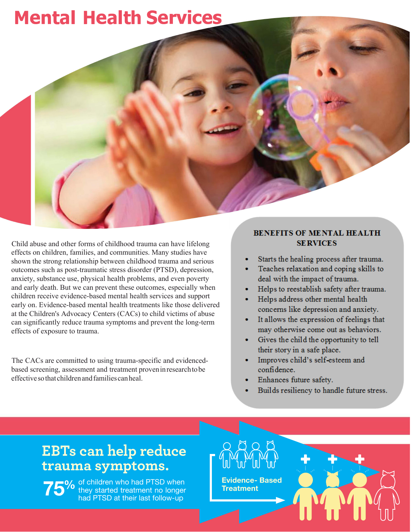# **Mental Health Services**



The CACs are committed to using evidenced-based and trauma-specific screening, assessment and treatments proven in research to be effective so that children and families can heal.

#### **BENEFITS OF MENTAL HEALTH SERVICES**

- Starts the healing process after trauma.
- Teaches relaxation and coping skills to deal with the impact of trauma.
- Helps to reestablish safety after trauma.
- Helps address other mental health concerns like depression and anxiety.
- It allows the expression of feelings that may otherwise come out as behaviors.
- Gives the child the opportunity to tell their story in a safe place.
- Improves child's self-esteem and confidence.
- Enhances future safety.
- Builds resiliency to handle future stress.